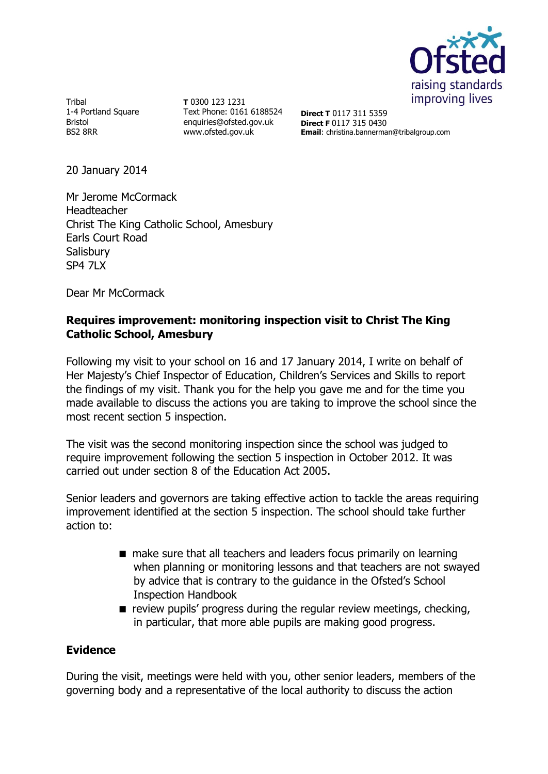

Tribal 1-4 Portland Square Bristol BS2 8RR

**T** 0300 123 1231 Text Phone: 0161 6188524 enquiries@ofsted.gov.uk www.ofsted.gov.uk

**Direct T** 0117 311 5359 **Direct F** 0117 315 0430 **Email**: christina.bannerman@tribalgroup.com

20 January 2014

Mr Jerome McCormack Headteacher Christ The King Catholic School, Amesbury Earls Court Road **Salisbury** SP4 7LX

Dear Mr McCormack

## **Requires improvement: monitoring inspection visit to Christ The King Catholic School, Amesbury**

Following my visit to your school on 16 and 17 January 2014, I write on behalf of Her Majesty's Chief Inspector of Education, Children's Services and Skills to report the findings of my visit. Thank you for the help you gave me and for the time you made available to discuss the actions you are taking to improve the school since the most recent section 5 inspection.

The visit was the second monitoring inspection since the school was judged to require improvement following the section 5 inspection in October 2012. It was carried out under section 8 of the Education Act 2005.

Senior leaders and governors are taking effective action to tackle the areas requiring improvement identified at the section 5 inspection. The school should take further action to:

- make sure that all teachers and leaders focus primarily on learning when planning or monitoring lessons and that teachers are not swayed by advice that is contrary to the guidance in the Ofsted's School Inspection Handbook
- $\blacksquare$  review pupils' progress during the regular review meetings, checking, in particular, that more able pupils are making good progress.

## **Evidence**

During the visit, meetings were held with you, other senior leaders, members of the governing body and a representative of the local authority to discuss the action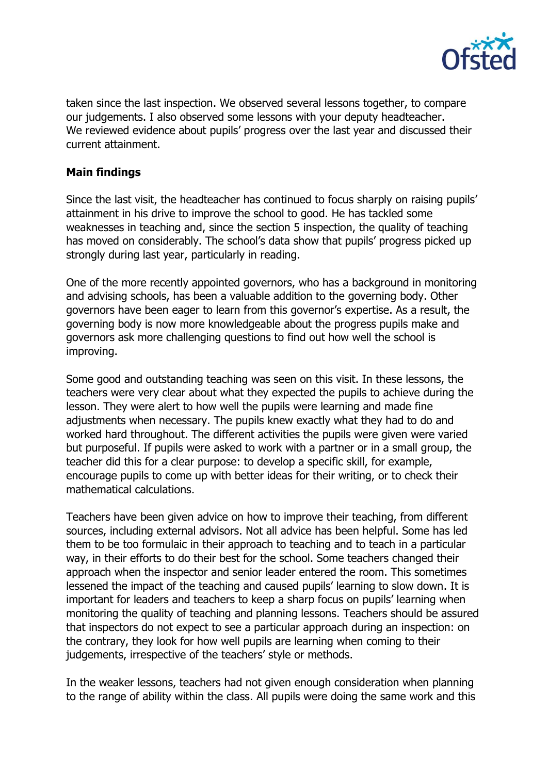

taken since the last inspection. We observed several lessons together, to compare our judgements. I also observed some lessons with your deputy headteacher. We reviewed evidence about pupils' progress over the last year and discussed their current attainment.

## **Main findings**

Since the last visit, the headteacher has continued to focus sharply on raising pupils' attainment in his drive to improve the school to good. He has tackled some weaknesses in teaching and, since the section 5 inspection, the quality of teaching has moved on considerably. The school's data show that pupils' progress picked up strongly during last year, particularly in reading.

One of the more recently appointed governors, who has a background in monitoring and advising schools, has been a valuable addition to the governing body. Other governors have been eager to learn from this governor's expertise. As a result, the governing body is now more knowledgeable about the progress pupils make and governors ask more challenging questions to find out how well the school is improving.

Some good and outstanding teaching was seen on this visit. In these lessons, the teachers were very clear about what they expected the pupils to achieve during the lesson. They were alert to how well the pupils were learning and made fine adjustments when necessary. The pupils knew exactly what they had to do and worked hard throughout. The different activities the pupils were given were varied but purposeful. If pupils were asked to work with a partner or in a small group, the teacher did this for a clear purpose: to develop a specific skill, for example, encourage pupils to come up with better ideas for their writing, or to check their mathematical calculations.

Teachers have been given advice on how to improve their teaching, from different sources, including external advisors. Not all advice has been helpful. Some has led them to be too formulaic in their approach to teaching and to teach in a particular way, in their efforts to do their best for the school. Some teachers changed their approach when the inspector and senior leader entered the room. This sometimes lessened the impact of the teaching and caused pupils' learning to slow down. It is important for leaders and teachers to keep a sharp focus on pupils' learning when monitoring the quality of teaching and planning lessons. Teachers should be assured that inspectors do not expect to see a particular approach during an inspection: on the contrary, they look for how well pupils are learning when coming to their judgements, irrespective of the teachers' style or methods.

In the weaker lessons, teachers had not given enough consideration when planning to the range of ability within the class. All pupils were doing the same work and this